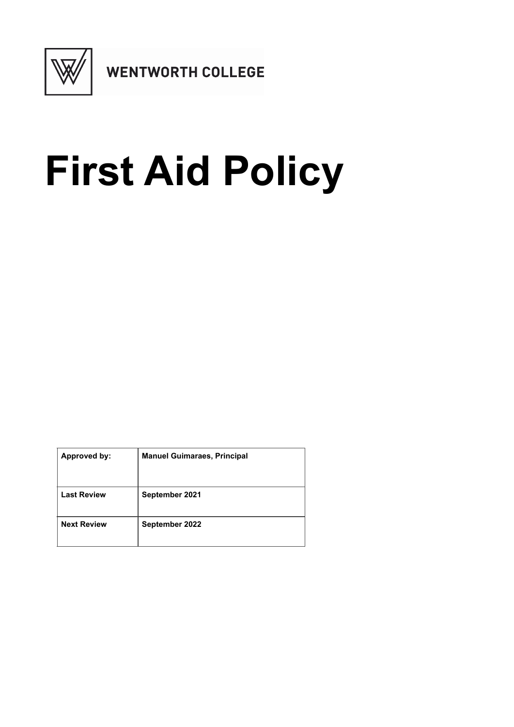

## **First Aid Policy**

| <b>Approved by:</b> | <b>Manuel Guimaraes, Principal</b> |
|---------------------|------------------------------------|
| <b>Last Review</b>  | September 2021                     |
| <b>Next Review</b>  | September 2022                     |